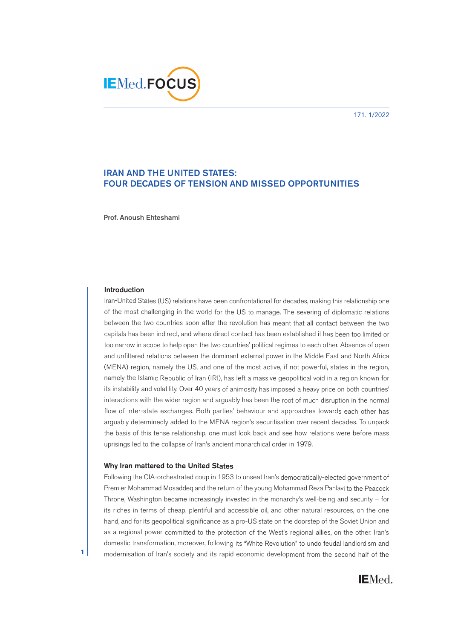171. 1/2022



# **IRAN AND THE UNITED STATES: FOUR DECADES OF TENSION AND MISSED OPPORTUNITIES**

**Prof. Anoush Ehteshami**

### **Introduction**

Iran-United States (US) relations have been confrontational for decades, making this relationship one of the most challenging in the world for the US to manage. The severing of diplomatic relations between the two countries soon after the revolution has meant that all contact between the two capitals has been indirect, and where direct contact has been established it has been too limited or too narrow in scope to help open the two countries' political regimes to each other. Absence of open and unfiltered relations between the dominant external power in the Middle East and North Africa (MENA) region, namely the US, and one of the most active, if not powerful, states in the region, namely the Islamic Republic of Iran (IRI), has left a massive geopolitical void in a region known for its instability and volatility. Over 40 years of animosity has imposed a heavy price on both countries' interactions with the wider region and arguably has been the root of much disruption in the normal flow of inter-state exchanges. Both parties' behaviour and approaches towards each other has arguably determinedly added to the MENA region's securitisation over recent decades. To unpack the basis of this tense relationship, one must look back and see how relations were before mass uprisings led to the collapse of Iran's ancient monarchical order in 1979.

### **Why Iran mattered to the United States**

Following the CIA-orchestrated coup in 1953 to unseat Iran's democratically-elected government of Premier Mohammad Mosaddeq and the return of the young Mohammad Reza Pahlavi to the Peacock Throne, Washington became increasingly invested in the monarchy's well-being and security – for its riches in terms of cheap, plentiful and accessible oil, and other natural resources, on the one hand, and for its geopolitical significance as a pro-US state on the doorstep of the Soviet Union and as a regional power committed to the protection of the West's regional allies, on the other. Iran's domestic transformation, moreover, following its "White Revolution" to undo feudal landlordism and modernisation of Iran's society and its rapid economic development from the second half of the



**1**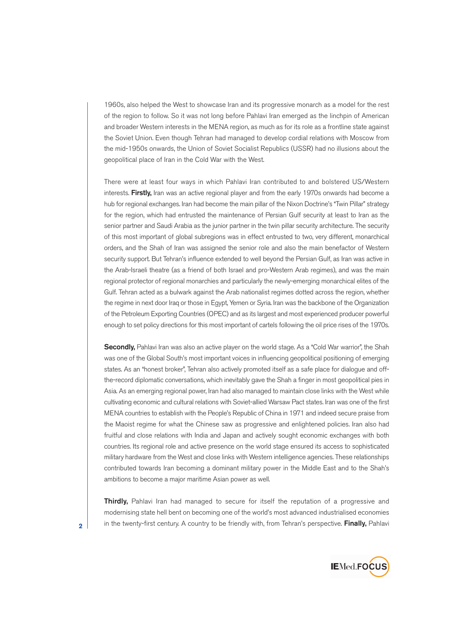1960s, also helped the West to showcase Iran and its progressive monarch as a model for the rest of the region to follow. So it was not long before Pahlavi Iran emerged as the linchpin of American and broader Western interests in the MENA region, as much as for its role as a frontline state against the Soviet Union. Even though Tehran had managed to develop cordial relations with Moscow from the mid-1950s onwards, the Union of Soviet Socialist Republics (USSR) had no illusions about the geopolitical place of Iran in the Cold War with the West.

There were at least four ways in which Pahlavi Iran contributed to and bolstered US/Western interests. **Firstly,** Iran was an active regional player and from the early 1970s onwards had become a hub for regional exchanges. Iran had become the main pillar of the Nixon Doctrine's "Twin Pillar" strategy for the region, which had entrusted the maintenance of Persian Gulf security at least to Iran as the senior partner and Saudi Arabia as the junior partner in the twin pillar security architecture. The security of this most important of global subregions was in effect entrusted to two, very different, monarchical orders, and the Shah of Iran was assigned the senior role and also the main benefactor of Western security support. But Tehran's influence extended to well beyond the Persian Gulf, as Iran was active in the Arab-Israeli theatre (as a friend of both Israel and pro-Western Arab regimes), and was the main regional protector of regional monarchies and particularly the newly-emerging monarchical elites of the Gulf. Tehran acted as a bulwark against the Arab nationalist regimes dotted across the region, whether the regime in next door Iraq or those in Egypt, Yemen or Syria. Iran was the backbone of the Organization of the Petroleum Exporting Countries (OPEC) and as its largest and most experienced producer powerful enough to set policy directions for this most important of cartels following the oil price rises of the 1970s.

**Secondly,** Pahlavi Iran was also an active player on the world stage. As a "Cold War warrior", the Shah was one of the Global South's most important voices in influencing geopolitical positioning of emerging states. As an "honest broker", Tehran also actively promoted itself as a safe place for dialogue and offthe-record diplomatic conversations, which inevitably gave the Shah a finger in most geopolitical pies in Asia. As an emerging regional power, Iran had also managed to maintain close links with the West while cultivating economic and cultural relations with Soviet-allied Warsaw Pact states. Iran was one of the first MENA countries to establish with the People's Republic of China in 1971 and indeed secure praise from the Maoist regime for what the Chinese saw as progressive and enlightened policies. Iran also had fruitful and close relations with India and Japan and actively sought economic exchanges with both countries. Its regional role and active presence on the world stage ensured its access to sophisticated military hardware from the West and close links with Western intelligence agencies. These relationships contributed towards Iran becoming a dominant military power in the Middle East and to the Shah's ambitions to become a major maritime Asian power as well.

**Thirdly,** Pahlavi Iran had managed to secure for itself the reputation of a progressive and modernising state hell bent on becoming one of the world's most advanced industrialised economies in the twenty-first century. A country to be friendly with, from Tehran's perspective. **Finally,** Pahlavi



**2**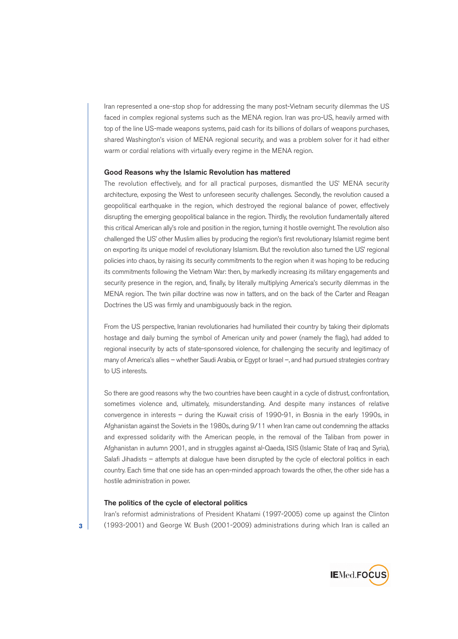Iran represented a one-stop shop for addressing the many post-Vietnam security dilemmas the US faced in complex regional systems such as the MENA region. Iran was pro-US, heavily armed with top of the line US-made weapons systems, paid cash for its billions of dollars of weapons purchases, shared Washington's vision of MENA regional security, and was a problem solver for it had either warm or cordial relations with virtually every regime in the MENA region.

#### **Good Reasons why the Islamic Revolution has mattered**

The revolution effectively, and for all practical purposes, dismantled the US' MENA security architecture, exposing the West to unforeseen security challenges. Secondly, the revolution caused a geopolitical earthquake in the region, which destroyed the regional balance of power, effectively disrupting the emerging geopolitical balance in the region. Thirdly, the revolution fundamentally altered this critical American ally's role and position in the region, turning it hostile overnight. The revolution also challenged the US' other Muslim allies by producing the region's first revolutionary Islamist regime bent on exporting its unique model of revolutionary Islamism. But the revolution also turned the US' regional policies into chaos, by raising its security commitments to the region when it was hoping to be reducing its commitments following the Vietnam War: then, by markedly increasing its military engagements and security presence in the region, and, finally, by literally multiplying America's security dilemmas in the MENA region. The twin pillar doctrine was now in tatters, and on the back of the Carter and Reagan Doctrines the US was firmly and unambiguously back in the region.

From the US perspective, Iranian revolutionaries had humiliated their country by taking their diplomats hostage and daily burning the symbol of American unity and power (namely the flag), had added to regional insecurity by acts of state-sponsored violence, for challenging the security and legitimacy of many of America's allies – whether Saudi Arabia, or Egypt or Israel –, and had pursued strategies contrary to US interests.

So there are good reasons why the two countries have been caught in a cycle of distrust, confrontation, sometimes violence and, ultimately, misunderstanding. And despite many instances of relative convergence in interests – during the Kuwait crisis of 1990-91, in Bosnia in the early 1990s, in Afghanistan against the Soviets in the 1980s, during 9/11 when Iran came out condemning the attacks and expressed solidarity with the American people, in the removal of the Taliban from power in Afghanistan in autumn 2001, and in struggles against al-Qaeda, ISIS (Islamic State of Iraq and Syria), Salafi Jihadists – attempts at dialogue have been disrupted by the cycle of electoral politics in each country. Each time that one side has an open-minded approach towards the other, the other side has a hostile administration in power.

## **The politics of the cycle of electoral politics**

Iran's reformist administrations of President Khatami (1997-2005) come up against the Clinton (1993-2001) and George W. Bush (2001-2009) administrations during which Iran is called an



**3**